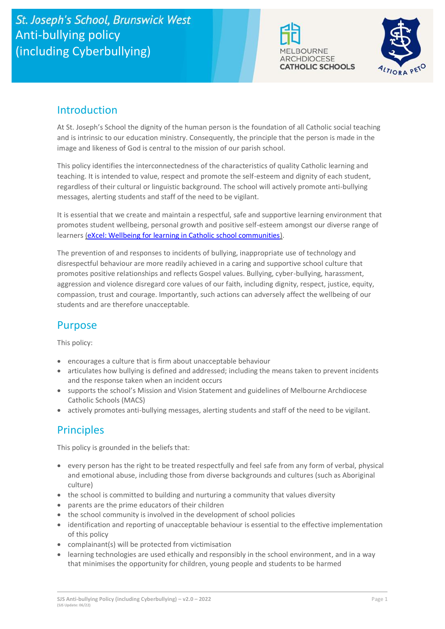# St. Joseph's School, Brunswick West Anti-bullying policy (including Cyberbullying)





## Introduction

At St. Joseph's School the dignity of the human person is the foundation of all Catholic social teaching and is intrinsic to our education ministry. Consequently, the principle that the person is made in the image and likeness of God is central to the mission of our parish school.

This policy identifies the interconnectedness of the characteristics of quality Catholic learning and teaching. It is intended to value, respect and promote the self-esteem and dignity of each student, regardless of their cultural or linguistic background. The school will actively promote anti-bullying messages, alerting students and staff of the need to be vigilant.

It is essential that we create and maintain a respectful, safe and supportive learning environment that promotes student wellbeing, personal growth and positive self-esteem amongst our diverse range of learners [\(eXcel: Wellbeing for learning in Catholic school communities\)](https://cevn.cecv.catholic.edu.au/Melb/Student-Support/Student-Wellbeing/eXcel#excel:-wellbeing-for-learning-in-catholic-school-communities).

The prevention of and responses to incidents of bullying, inappropriate use of technology and disrespectful behaviour are more readily achieved in a caring and supportive school culture that promotes positive relationships and reflects Gospel values. Bullying, cyber-bullying, harassment, aggression and violence disregard core values of our faith, including dignity, respect, justice, equity, compassion, trust and courage. Importantly, such actions can adversely affect the wellbeing of our students and are therefore unacceptable.

## Purpose

This policy:

- encourages a culture that is firm about unacceptable behaviour
- articulates how bullying is defined and addressed; including the means taken to prevent incidents and the response taken when an incident occurs
- supports the school's Mission and Vision Statement and guidelines of Melbourne Archdiocese Catholic Schools (MACS)
- actively promotes anti-bullying messages, alerting students and staff of the need to be vigilant.

## **Principles**

This policy is grounded in the beliefs that:

- every person has the right to be treated respectfully and feel safe from any form of verbal, physical and emotional abuse, including those from diverse backgrounds and cultures (such as Aboriginal culture)
- the school is committed to building and nurturing a community that values diversity
- parents are the prime educators of their children
- the school community is involved in the development of school policies
- identification and reporting of unacceptable behaviour is essential to the effective implementation of this policy
- complainant(s) will be protected from victimisation
- learning technologies are used ethically and responsibly in the school environment, and in a way that minimises the opportunity for children, young people and students to be harmed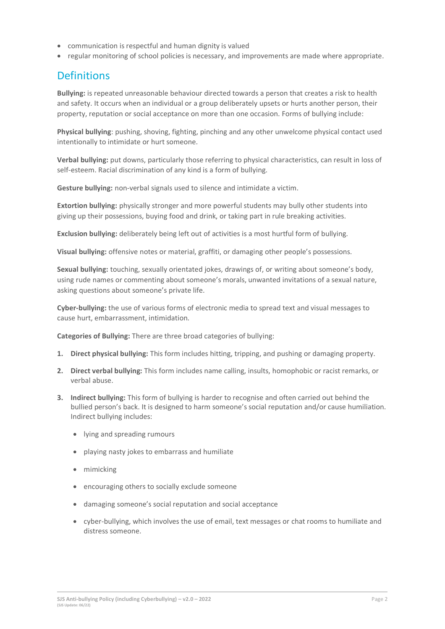- communication is respectful and human dignity is valued
- regular monitoring of school policies is necessary, and improvements are made where appropriate.

## **Definitions**

**Bullying:** is repeated unreasonable behaviour directed towards a person that creates a risk to health and safety. It occurs when an individual or a group deliberately upsets or hurts another person, their property, reputation or social acceptance on more than one occasion. Forms of bullying include:

**Physical bullying**: pushing, shoving, fighting, pinching and any other unwelcome physical contact used intentionally to intimidate or hurt someone.

**Verbal bullying:** put downs, particularly those referring to physical characteristics, can result in loss of self-esteem. Racial discrimination of any kind is a form of bullying.

**Gesture bullying:** non-verbal signals used to silence and intimidate a victim.

**Extortion bullying:** physically stronger and more powerful students may bully other students into giving up their possessions, buying food and drink, or taking part in rule breaking activities.

**Exclusion bullying:** deliberately being left out of activities is a most hurtful form of bullying.

**Visual bullying:** offensive notes or material, graffiti, or damaging other people's possessions.

**Sexual bullying:** touching, sexually orientated jokes, drawings of, or writing about someone's body, using rude names or commenting about someone's morals, unwanted invitations of a sexual nature, asking questions about someone's private life.

**Cyber-bullying:** the use of various forms of electronic media to spread text and visual messages to cause hurt, embarrassment, intimidation.

**Categories of Bullying:** There are three broad categories of bullying:

- **1. Direct physical bullying:** This form includes hitting, tripping, and pushing or damaging property.
- **2. Direct verbal bullying:** This form includes name calling, insults, homophobic or racist remarks, or verbal abuse.
- **3. Indirect bullying:** This form of bullying is harder to recognise and often carried out behind the bullied person's back. It is designed to harm someone's social reputation and/or cause humiliation. Indirect bullying includes:
	- lying and spreading rumours
	- playing nasty jokes to embarrass and humiliate
	- mimicking
	- encouraging others to socially exclude someone
	- damaging someone's social reputation and social acceptance
	- cyber-bullying, which involves the use of email, text messages or chat rooms to humiliate and distress someone.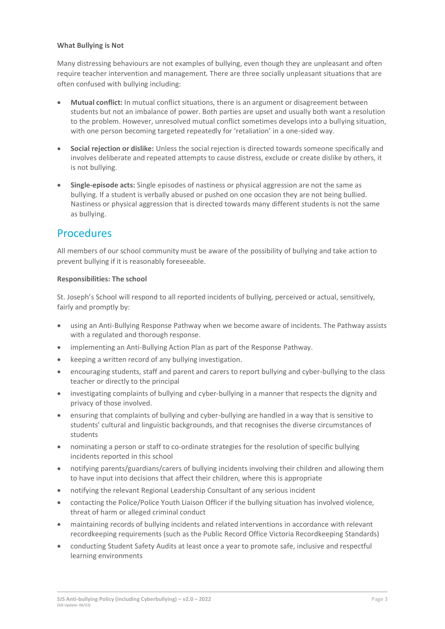#### **What Bullying is Not**

Many distressing behaviours are not examples of bullying, even though they are unpleasant and often require teacher intervention and management. There are three socially unpleasant situations that are often confused with bullying including:

- **Mutual conflict:** In mutual conflict situations, there is an argument or disagreement between students but not an imbalance of power. Both parties are upset and usually both want a resolution to the problem. However, unresolved mutual conflict sometimes develops into a bullying situation, with one person becoming targeted repeatedly for 'retaliation' in a one-sided way.
- **Social rejection or dislike:** Unless the social rejection is directed towards someone specifically and involves deliberate and repeated attempts to cause distress, exclude or create dislike by others, it is not bullying.
- **Single-episode acts:** Single episodes of nastiness or physical aggression are not the same as bullying. If a student is verbally abused or pushed on one occasion they are not being bullied. Nastiness or physical aggression that is directed towards many different students is not the same as bullying.

### **Procedures**

All members of our school community must be aware of the possibility of bullying and take action to prevent bullying if it is reasonably foreseeable.

#### **Responsibilities: The school**

St. Joseph's School will respond to all reported incidents of bullying, perceived or actual, sensitively, fairly and promptly by:

- using an Anti-Bullying Response Pathway when we become aware of incidents. The Pathway assists with a regulated and thorough response.
- implementing an Anti-Bullying Action Plan as part of the Response Pathway.
- keeping a written record of any bullying investigation.
- encouraging students, staff and parent and carers to report bullying and cyber-bullying to the class teacher or directly to the principal
- investigating complaints of bullying and cyber-bullying in a manner that respects the dignity and privacy of those involved.
- ensuring that complaints of bullying and cyber-bullying are handled in a way that is sensitive to students' cultural and linguistic backgrounds, and that recognises the diverse circumstances of students
- nominating a person or staff to co-ordinate strategies for the resolution of specific bullying incidents reported in this school
- notifying parents/guardians/carers of bullying incidents involving their children and allowing them to have input into decisions that affect their children, where this is appropriate
- notifying the relevant Regional Leadership Consultant of any serious incident
- contacting the Police/Police Youth Liaison Officer if the bullying situation has involved violence, threat of harm or alleged criminal conduct
- maintaining records of bullying incidents and related interventions in accordance with relevant recordkeeping requirements (such as the Public Record Office Victoria Recordkeeping Standards)
- conducting Student Safety Audits at least once a year to promote safe, inclusive and respectful learning environments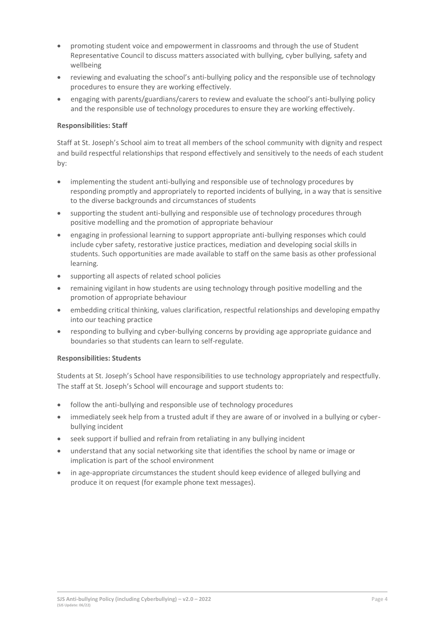- promoting student voice and empowerment in classrooms and through the use of Student Representative Council to discuss matters associated with bullying, cyber bullying, safety and wellbeing
- reviewing and evaluating the school's anti-bullying policy and the responsible use of technology procedures to ensure they are working effectively.
- engaging with parents/guardians/carers to review and evaluate the school's anti-bullying policy and the responsible use of technology procedures to ensure they are working effectively.

#### **Responsibilities: Staff**

Staff at St. Joseph's School aim to treat all members of the school community with dignity and respect and build respectful relationships that respond effectively and sensitively to the needs of each student by:

- implementing the student anti-bullying and responsible use of technology procedures by responding promptly and appropriately to reported incidents of bullying, in a way that is sensitive to the diverse backgrounds and circumstances of students
- supporting the student anti-bullying and responsible use of technology procedures through positive modelling and the promotion of appropriate behaviour
- engaging in professional learning to support appropriate anti-bullying responses which could include cyber safety, restorative justice practices, mediation and developing social skills in students. Such opportunities are made available to staff on the same basis as other professional learning.
- supporting all aspects of related school policies
- remaining vigilant in how students are using technology through positive modelling and the promotion of appropriate behaviour
- embedding critical thinking, values clarification, respectful relationships and developing empathy into our teaching practice
- responding to bullying and cyber-bullying concerns by providing age appropriate guidance and boundaries so that students can learn to self-regulate.

#### **Responsibilities: Students**

Students at St. Joseph's School have responsibilities to use technology appropriately and respectfully. The staff at St. Joseph's School will encourage and support students to:

- follow the anti-bullying and responsible use of technology procedures
- immediately seek help from a trusted adult if they are aware of or involved in a bullying or cyberbullying incident
- seek support if bullied and refrain from retaliating in any bullying incident
- understand that any social networking site that identifies the school by name or image or implication is part of the school environment
- in age-appropriate circumstances the student should keep evidence of alleged bullying and produce it on request (for example phone text messages).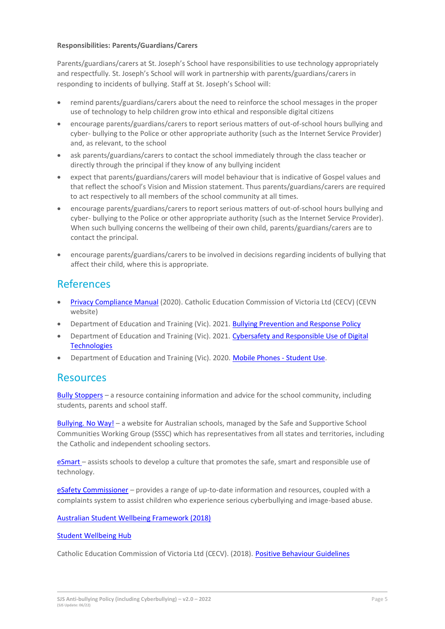#### **Responsibilities: Parents/Guardians/Carers**

Parents/guardians/carers at St. Joseph's School have responsibilities to use technology appropriately and respectfully. St. Joseph's School will work in partnership with parents/guardians/carers in responding to incidents of bullying. Staff at St. Joseph's School will:

- remind parents/guardians/carers about the need to reinforce the school messages in the proper use of technology to help children grow into ethical and responsible digital citizens
- encourage parents/guardians/carers to report serious matters of out-of-school hours bullying and cyber- bullying to the Police or other appropriate authority (such as the Internet Service Provider) and, as relevant, to the school
- ask parents/guardians/carers to contact the school immediately through the class teacher or directly through the principal if they know of any bullying incident
- expect that parents/guardians/carers will model behaviour that is indicative of Gospel values and that reflect the school's Vision and Mission statement. Thus parents/guardians/carers are required to act respectively to all members of the school community at all times.
- encourage parents/guardians/carers to report serious matters of out-of-school hours bullying and cyber- bullying to the Police or other appropriate authority (such as the Internet Service Provider). When such bullying concerns the wellbeing of their own child, parents/guardians/carers are to contact the principal.
- encourage parents/guardians/carers to be involved in decisions regarding incidents of bullying that affect their child, where this is appropriate.

### References

- [Privacy Compliance Manual](https://cevn.cecv.catholic.edu.au/Melb/Document-File/Polices-Compliance-and-Legal/Privacy/Privacy-Compliance-Manual.aspx) (2020). Catholic Education Commission of Victoria Ltd (CECV) (CEVN website)
- Department of Education and Training (Vic). 2021. [Bullying Prevention and Response Policy](https://www2.education.vic.gov.au/pal/bullying-prevention-response/policy)
- Department of Education and Training (Vic). 2021. [Cybersafety and Responsible Use of Digital](https://www2.education.vic.gov.au/pal/cybersafety/policy)  **[Technologies](https://www2.education.vic.gov.au/pal/cybersafety/policy)**
- Department of Education and Training (Vic). 2020. [Mobile Phones -](https://www2.education.vic.gov.au/pal/students-using-mobile-phones/policy) Student Use.

### **Resources**

Bully [Stoppers](https://www.education.vic.gov.au/about/programs/bullystoppers/Pages/default.aspx) – a resource containing information and advice for the school community, including students, parents and school staff.

[Bullying. No](https://bullyingnoway.gov.au/) Way! – a website for Australian schools, managed by the Safe and Supportive School Communities Working Group (SSSC) which has representatives from all states and territories, including the Catholic and independent schooling sectors.

[eSmart](https://www.education.vic.gov.au/about/programs/bullystoppers/Pages/esmart.aspx) – assists schools to develop a culture that promotes the safe, smart and responsible use of technology.

eSafety [Commissioner](https://www.esafety.gov.au/) – provides a range of up-to-date information and resources, coupled with a complaints system to assist children who experience serious cyberbullying and image-based abuse.

[Australian Student Wellbeing Framework \(2018\)](https://www.studentwellbeinghub.edu.au/docs/default-source/aswf_booklet-pdf.pdf)

#### [Student Wellbeing Hub](https://www.studentwellbeinghub.edu.au/)

Catholic Education Commission of Victoria Ltd (CECV). (2018). [Positive Behaviour Guidelines](http://www.cecv.catholic.edu.au/getmedia/bc1d235d-9a98-4bb4-b3ac-84b50fa7c639/CECV-Positive-Behaviour-Guidelines_FINAL2.aspx?ext=.pdf)